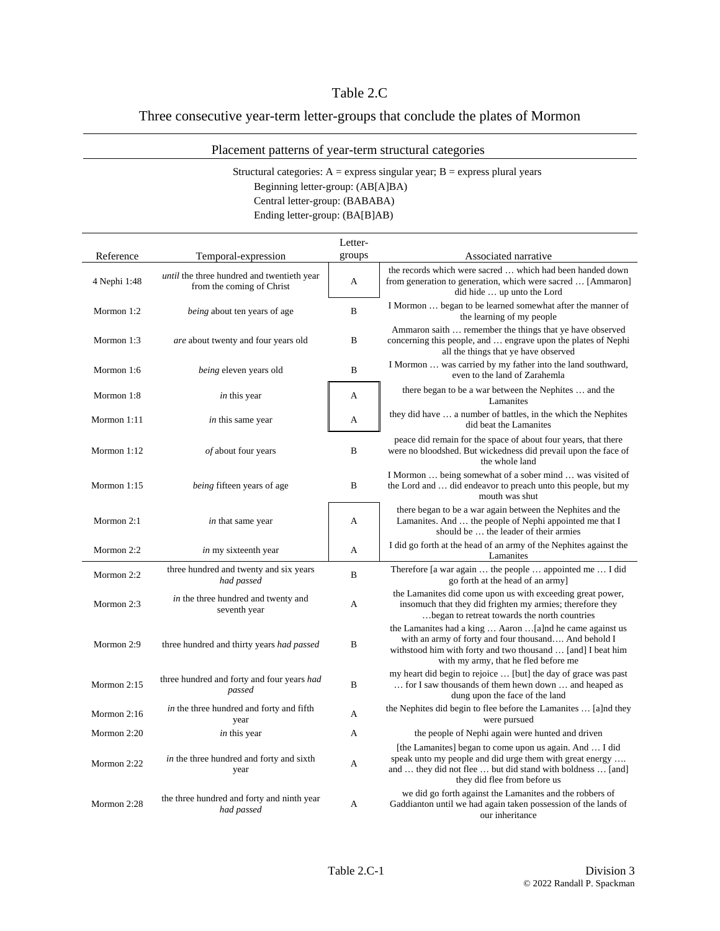## Table 2.C

## Three consecutive year-term letter-groups that conclude the plates of Mormon

## Placement patterns of year-term structural categories

## Structural categories:  $A =$  express singular year;  $B =$  express plural years

Beginning letter-group: (AB[A]BA)

Central letter-group: (BABABA)

Ending letter-group: (BA[B]AB)

|               |                                                                                | Letter- |                                                                                                                                                                                                                         |
|---------------|--------------------------------------------------------------------------------|---------|-------------------------------------------------------------------------------------------------------------------------------------------------------------------------------------------------------------------------|
| Reference     | Temporal-expression                                                            | groups  | Associated narrative                                                                                                                                                                                                    |
| 4 Nephi 1:48  | <i>until</i> the three hundred and twentieth year<br>from the coming of Christ | A       | the records which were sacred  which had been handed down<br>from generation to generation, which were sacred  [Ammaron]<br>did hide  up unto the Lord                                                                  |
| Mormon 1:2    | <i>being</i> about ten years of age                                            | B       | I Mormon  began to be learned somewhat after the manner of<br>the learning of my people                                                                                                                                 |
| Mormon 1:3    | are about twenty and four years old                                            | B       | Ammaron saith  remember the things that ye have observed<br>concerning this people, and  engrave upon the plates of Nephi<br>all the things that ye have observed                                                       |
| Mormon 1:6    | being eleven years old                                                         | B       | I Mormon  was carried by my father into the land southward,<br>even to the land of Zarahemla                                                                                                                            |
| Mormon 1:8    | in this year                                                                   | A       | there began to be a war between the Nephites  and the<br>Lamanites                                                                                                                                                      |
| Mormon 1:11   | in this same year                                                              | A       | they did have  a number of battles, in the which the Nephites<br>did beat the Lamanites                                                                                                                                 |
| Mormon $1:12$ | of about four years                                                            | B       | peace did remain for the space of about four years, that there<br>were no bloodshed. But wickedness did prevail upon the face of<br>the whole land                                                                      |
| Mormon $1:15$ | being fifteen years of age                                                     | B       | I Mormon  being somewhat of a sober mind  was visited of<br>the Lord and  did endeavor to preach unto this people, but my<br>mouth was shut                                                                             |
| Mormon 2:1    | in that same year                                                              | A       | there began to be a war again between the Nephites and the<br>Lamanites. And  the people of Nephi appointed me that I<br>should be  the leader of their armies                                                          |
| Mormon 2:2    | in my sixteenth year                                                           | A       | I did go forth at the head of an army of the Nephites against the<br>Lamanites                                                                                                                                          |
| Mormon 2:2    | three hundred and twenty and six years<br>had passed                           | B       | Therefore [a war again  the people  appointed me  I did<br>go forth at the head of an army]                                                                                                                             |
| Mormon 2:3    | in the three hundred and twenty and<br>seventh year                            | A       | the Lamanites did come upon us with exceeding great power,<br>insomuch that they did frighten my armies; therefore they<br>began to retreat towards the north countries                                                 |
| Mormon 2:9    | three hundred and thirty years had passed                                      | B       | the Lamanites had a king  Aaron [a]nd he came against us<br>with an army of forty and four thousand And behold I<br>withstood him with forty and two thousand  [and] I beat him<br>with my army, that he fled before me |
| Mormon 2:15   | three hundred and forty and four years had<br>passed                           | B       | my heart did begin to rejoice  [but] the day of grace was past<br>for I saw thousands of them hewn down  and heaped as<br>dung upon the face of the land                                                                |
| Mormon 2:16   | in the three hundred and forty and fifth<br>year                               | A       | the Nephites did begin to flee before the Lamanites  [a]nd they<br>were pursued                                                                                                                                         |
| Mormon 2:20   | in this year                                                                   | A       | the people of Nephi again were hunted and driven                                                                                                                                                                        |
| Mormon 2:22   | in the three hundred and forty and sixth<br>year                               | А       | [the Lamanites] began to come upon us again. And  I did<br>speak unto my people and did urge them with great energy<br>and  they did not flee  but did stand with boldness  [and]<br>they did flee from before us       |
| Mormon 2:28   | the three hundred and forty and ninth year<br>had passed                       | A       | we did go forth against the Lamanites and the robbers of<br>Gaddianton until we had again taken possession of the lands of<br>our inheritance                                                                           |